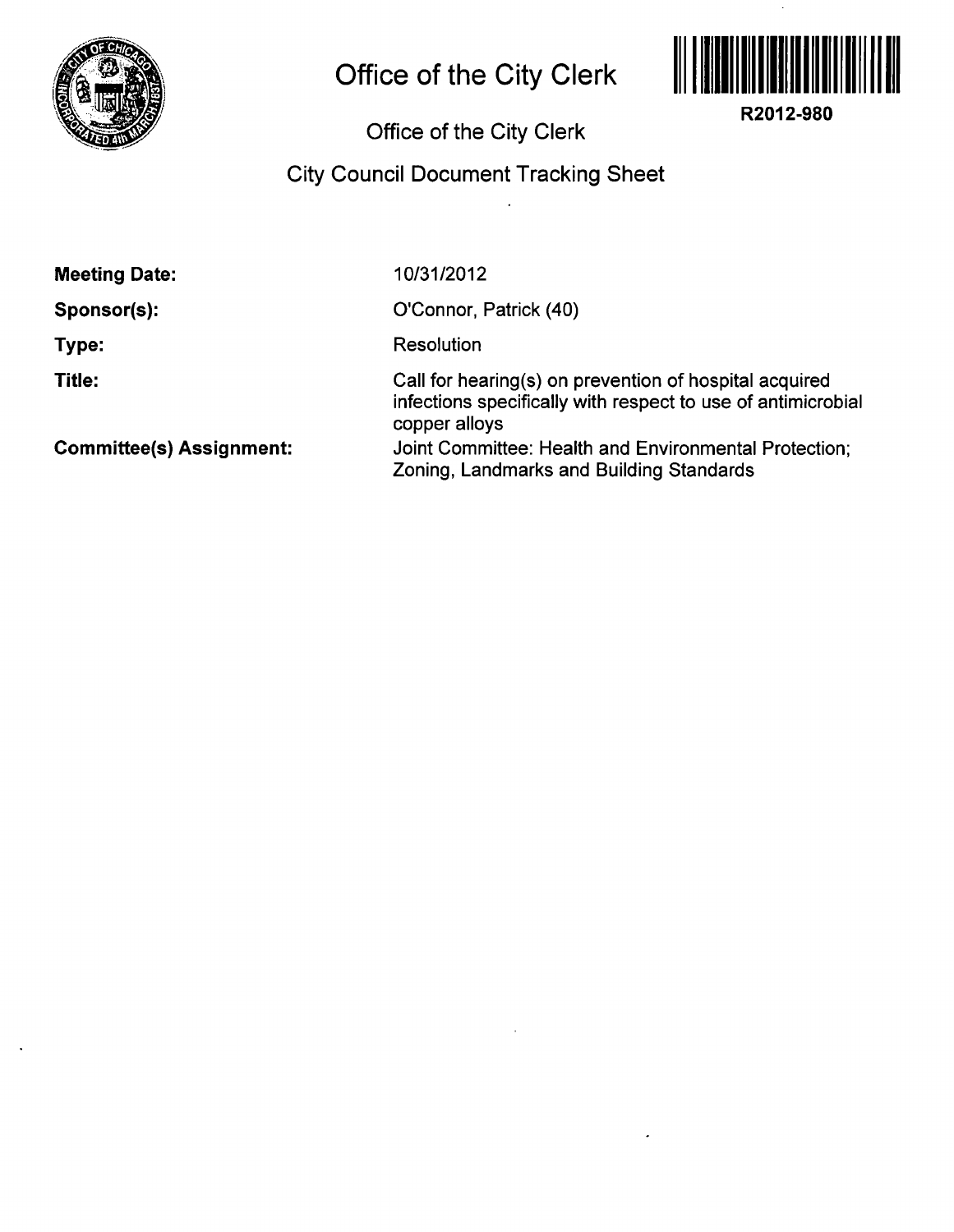

## **Office of the City Clerk**



**R2012-980** 

## **Office of the City Clerk**

## **City Council Document Tracking Sheet**

| <b>Meeting Date:</b>            | 10/31/2012                                                                                                                              |
|---------------------------------|-----------------------------------------------------------------------------------------------------------------------------------------|
| Sponsor(s):                     | O'Connor, Patrick (40)                                                                                                                  |
| Type:                           | Resolution                                                                                                                              |
| Title:                          | Call for hearing(s) on prevention of hospital acquired<br>infections specifically with respect to use of antimicrobial<br>copper alloys |
| <b>Committee(s) Assignment:</b> | Joint Committee: Health and Environmental Protection;<br>Zoning, Landmarks and Building Standards                                       |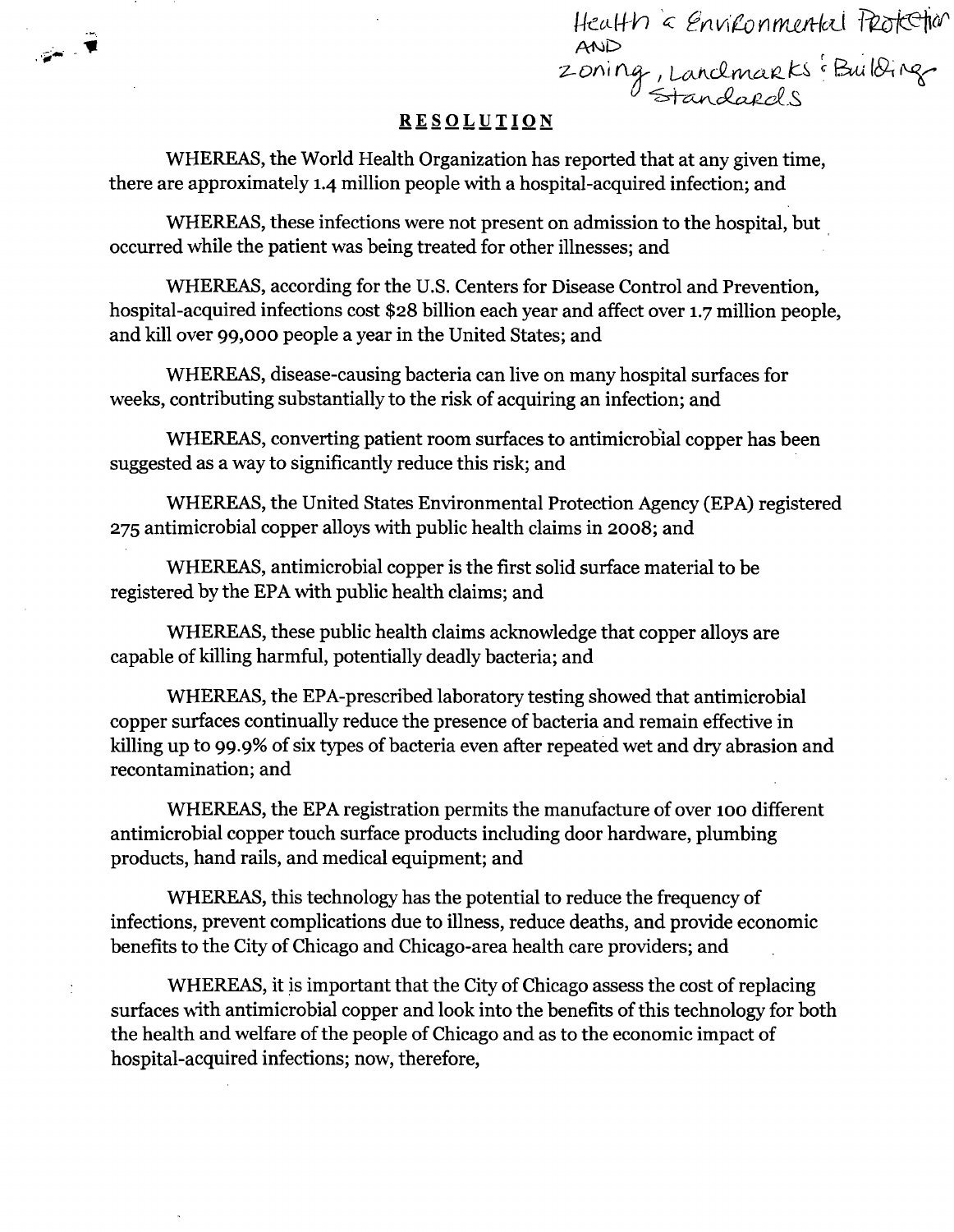Health & Environmental Prototion<br>and<br>zoning, Landmarks (Building

## **RESOLUTION**

 $\mathcal{L}$ 

WHEREAS, the World Health Organization has reported that at any given time, there are approximately 1.4 million people with a hospital-acquired infection; and

WHEREAS, these infections were not present on admission to the hospital, but occurred while the patient was being treated for other illnesses; and

WHEREAS, according for the U.S. Centers for Disease Control and Prevention, hospital-acquired infections cost \$28 billion each year and affect over 1.7 million people, and kill over 99,000 people a year in the United States; and

WHEREAS, disease-causing bacteria can live on many hospital surfaces for weeks, contributing substantially to the risk of acquiring an infection; and

WHEREAS, converting patient room surfaces to antimicrobial copper has been suggested as a way to significantly reduce this risk; and

WHEREAS, the United States Environmental Protection Agency (EPA) registered 275 antimicrobial copper alloys with public health claims in 2008; and

WHEREAS, antimicrobial copper is the first solid surface material to be registered by the EPA with public health claims; and

WHEREAS, these public health claims acknowledge that copper alloys are capable of killing harmful, potentially deadly bacteria; and

WHEREAS, the EPA-prescribed laboratory testing showed that antimicrobial copper surfaces continually reduce the presence of bacteria and remain effective in killing up to 99.9% of six types of bacteria even after repeated wet and dry abrasion and recontamination; and

WHEREAS, the EPA registration permits the manufacture of over 100 different antimicrobial copper touch surface products including door hardware, plumbing products, hand rails, and medical equipment; and

WHEREAS, this technology has the potential to reduce the frequency of infections, prevent complications due to illness, reduce deaths, and provide economic benefits to the City of Chicago and Chicago-area health care providers; and

WHEREAS, it is important that the City of Chicago assess the cost of replacing surfaces with antimicrobial copper and look into the benefits of this technology for both the health and welfare of the people of Chicago and as to the economic impact of hospital-acquired infections; now, therefore.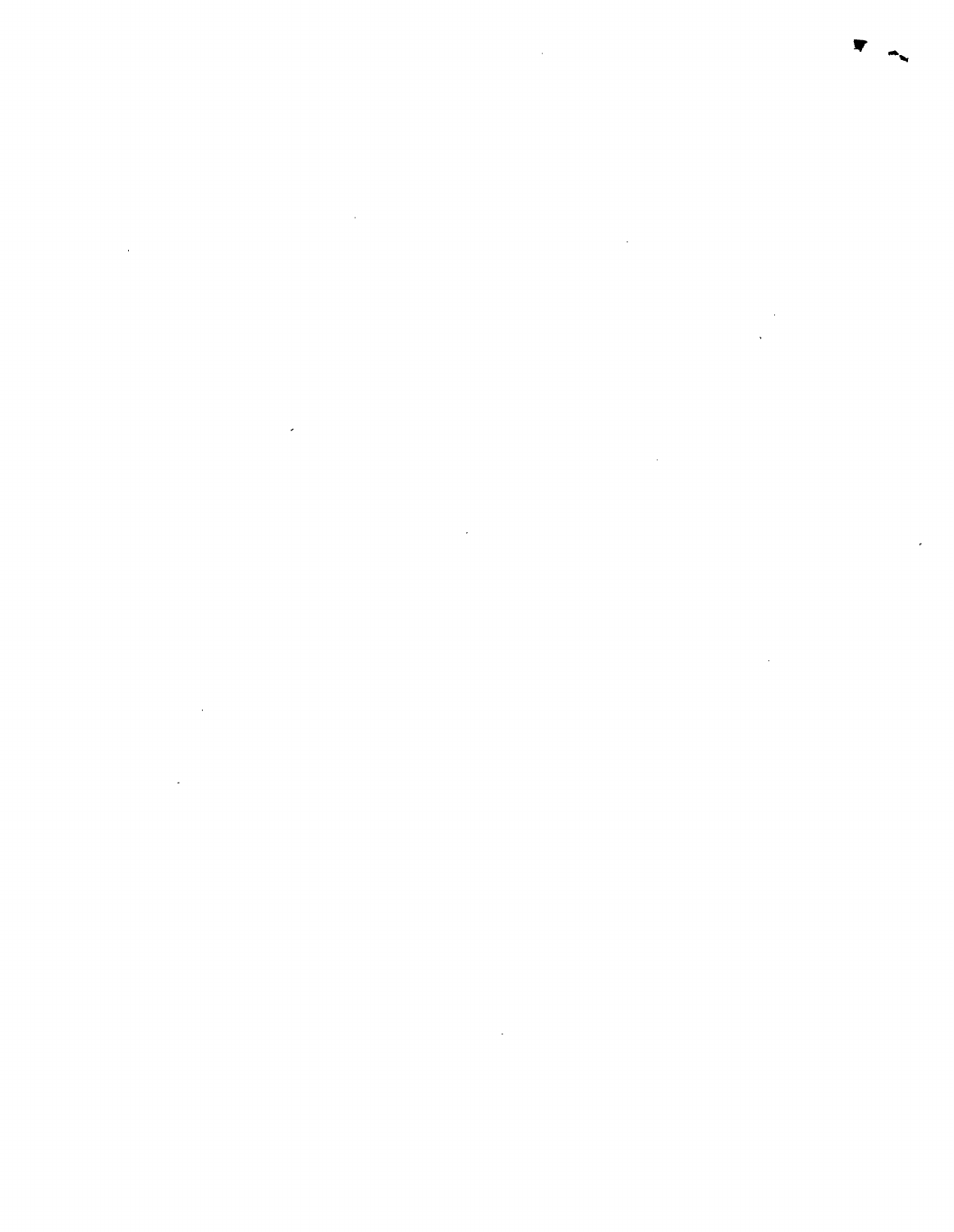$\label{eq:2.1} \mathcal{L}(\mathcal{L}^{\mathcal{L}}_{\mathcal{L}}(\mathcal{L}^{\mathcal{L}}_{\mathcal{L}})) \leq \mathcal{L}(\mathcal{L}^{\mathcal{L}}_{\mathcal{L}}(\mathcal{L}^{\mathcal{L}}_{\mathcal{L}})) \leq \mathcal{L}(\mathcal{L}^{\mathcal{L}}_{\mathcal{L}}(\mathcal{L}^{\mathcal{L}}_{\mathcal{L}}))$ 

 $\label{eq:2.1} \frac{1}{\sqrt{2}}\int_{\mathbb{R}^3}\frac{1}{\sqrt{2}}\left(\frac{1}{\sqrt{2}}\right)^2\frac{1}{\sqrt{2}}\left(\frac{1}{\sqrt{2}}\right)^2\frac{1}{\sqrt{2}}\left(\frac{1}{\sqrt{2}}\right)^2\frac{1}{\sqrt{2}}\left(\frac{1}{\sqrt{2}}\right)^2\frac{1}{\sqrt{2}}\left(\frac{1}{\sqrt{2}}\right)^2\frac{1}{\sqrt{2}}\frac{1}{\sqrt{2}}\frac{1}{\sqrt{2}}\frac{1}{\sqrt{2}}\frac{1}{\sqrt{2}}\frac{1}{\sqrt{2}}$  $\label{eq:2.1} \mathcal{L}(\mathcal{L}^{\text{max}}_{\mathcal{L}}(\mathcal{L}^{\text{max}}_{\mathcal{L}}))\leq \mathcal{L}(\mathcal{L}^{\text{max}}_{\mathcal{L}}(\mathcal{L}^{\text{max}}_{\mathcal{L}}))$  $\mathcal{L}^{\text{max}}_{\text{max}}$  , where  $\mathcal{L}^{\text{max}}_{\text{max}}$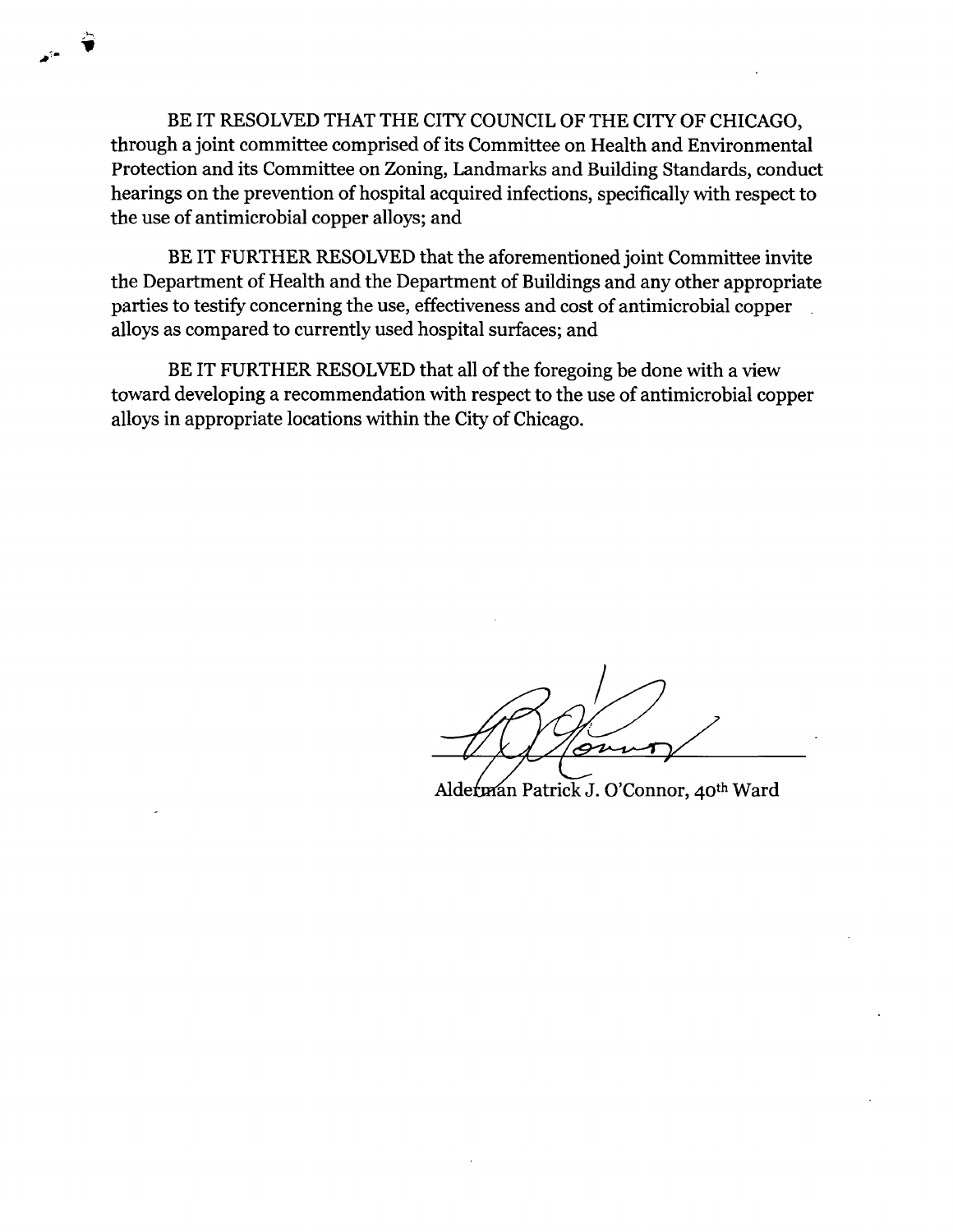BE IT RESOLVED THAT THE CITY COUNCIL OF THE CITY OF CHICAGO, through a joint committee comprised of its Committee on Health and Environmental Protection and its Committee on Zoning, Landmarks and Building Standards, conduct hearings on the prevention of hospital acquired infections, specifically with respect to the use of antimicrobial copper alloys; and

BE IT FURTHER RESOLVED that the aforementioned joint Committee invite the Department of Health and the Department of Buildings and any other appropriate parties to testify concerning the use, effectiveness and cost of antimicrobial copper alloys as compared to currently used hospital surfaces; and

BE IT FURTHER RESOLVED that all of the foregoing be done with a view toward developing a recommendation with respect to the use of antimicrobial copper alloys in appropriate locations within the City of Chicago.

Alderman Patrick J. O'Connor, 40th Ward